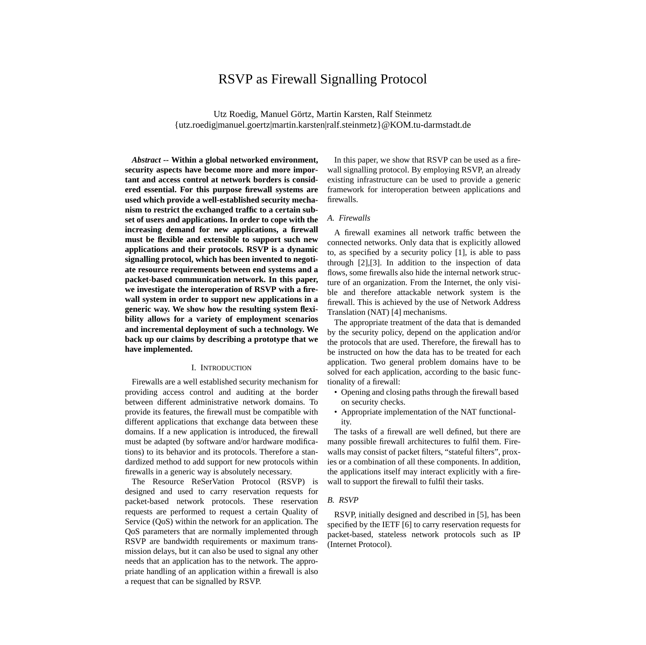# RSVP as Firewall Signalling Protocol

Utz Roedig, Manuel Görtz, Martin Karsten, Ralf Steinmetz {utz.roedig|manuel.goertz|martin.karsten|ralf.steinmetz}@KOM.tu-darmstadt.de

*Abstract --* **Within a global networked environment, security aspects have become more and more important and access control at network borders is considered essential. For this purpose firewall systems are used which provide a well-established security mechanism to restrict the exchanged traffic to a certain subset of users and applications. In order to cope with the increasing demand for new applications, a firewall must be flexible and extensible to support such new applications and their protocols. RSVP is a dynamic signalling protocol, which has been invented to negotiate resource requirements between end systems and a packet-based communication network. In this paper, we investigate the interoperation of RSVP with a firewall system in order to support new applications in a generic way. We show how the resulting system flexibility allows for a variety of employment scenarios and incremental deployment of such a technology. We back up our claims by describing a prototype that we have implemented.**

#### I. INTRODUCTION

Firewalls are a well established security mechanism for providing access control and auditing at the border between different administrative network domains. To provide its features, the firewall must be compatible with different applications that exchange data between these domains. If a new application is introduced, the firewall must be adapted (by software and/or hardware modifications) to its behavior and its protocols. Therefore a standardized method to add support for new protocols within firewalls in a generic way is absolutely necessary.

The Resource ReSerVation Protocol (RSVP) is designed and used to carry reservation requests for packet-based network protocols. These reservation requests are performed to request a certain Quality of Service (QoS) within the network for an application. The QoS parameters that are normally implemented through RSVP are bandwidth requirements or maximum transmission delays, but it can also be used to signal any other needs that an application has to the network. The appropriate handling of an application within a firewall is also a request that can be signalled by RSVP.

In this paper, we show that RSVP can be used as a firewall signalling protocol. By employing RSVP, an already existing infrastructure can be used to provide a generic framework for interoperation between applications and firewalls.

# *A. Firewalls*

A firewall examines all network traffic between the connected networks. Only data that is explicitly allowed to, as specified by a security policy [\[1\],](#page-9-0) is able to pass through [\[2\],\[3\].](#page-9-0) In addition to the inspection of data flows, some firewalls also hide the internal network structure of an organization. From the Internet, the only visible and therefore attackable network system is the firewall. This is achieved by the use of Network Address Translation (NAT) [[4\] m](#page-9-0)echanisms.

The appropriate treatment of the data that is demanded by the security policy, depend on the application and/or the protocols that are used. Therefore, the firewall has to be instructed on how the data has to be treated for each application. Two general problem domains have to be solved for each application, according to the basic functionality of a firewall:

- Opening and closing paths through the firewall based on security checks.
- Appropriate implementation of the NAT functionality.

The tasks of a firewall are well defined, but there are many possible firewall architectures to fulfil them. Firewalls may consist of packet filters, "stateful filters", proxies or a combination of all these components. In addition, the applications itself may interact explicitly with a firewall to support the firewall to fulfil their tasks.

#### *B. RSVP*

RSVP, initially designed and described in [\[5\]](#page-9-0), has been specified by the IETF [\[6\]](#page-9-0) to carry reservation requests for packet-based, stateless network protocols such as IP (Internet Protocol).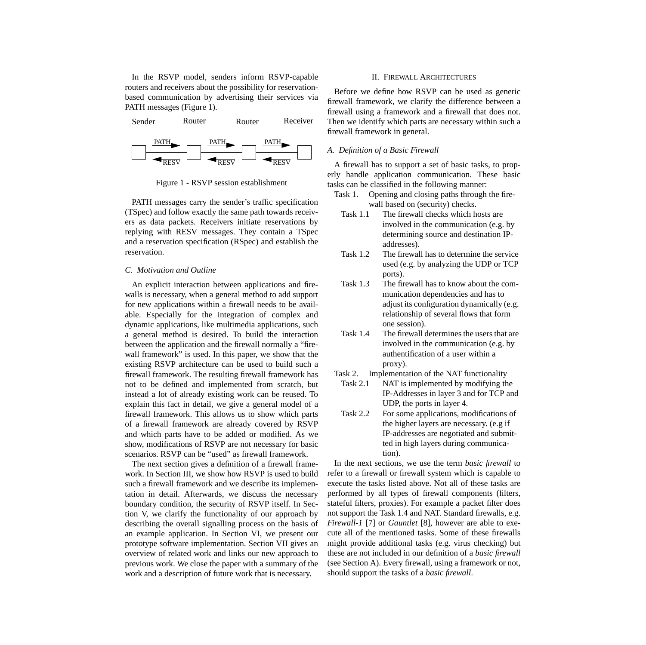<span id="page-1-0"></span>In the RSVP model, senders inform RSVP-capable routers and receivers about the possibility for reservationbased communication by advertising their services via PATH messages (Figure 1).



Figure 1 - RSVP session establishment

PATH messages carry the sender's traffic specification (TSpec) and follow exactly the same path towards receivers as data packets. Receivers initiate reservations by replying with RESV messages. They contain a TSpec and a reservation specification (RSpec) and establish the reservation.

# *C. Motivation and Outline*

An explicit interaction between applications and firewalls is necessary, when a general method to add support for new applications within a firewall needs to be available. Especially for the integration of complex and dynamic applications, like multimedia applications, such a general method is desired. To build the interaction between the application and the firewall normally a "firewall framework" is used. In this paper, we show that the existing RSVP architecture can be used to build such a firewall framework. The resulting firewall framework has not to be defined and implemented from scratch, but instead a lot of already existing work can be reused. To explain this fact in detail, we give a general model of a firewall framework. This allows us to show which parts of a firewall framework are already covered by RSVP and which parts have to be added or modified. As we show, modifications of RSVP are not necessary for basic scenarios. RSVP can be "used" as firewall framework.

The next section gives a definition of a firewall framework. In Section III, we show how RSVP is used to build such a firewall framework and we describe its implementation in detail. Afterwards, we discuss the necessary boundary condition, the security of RSVP itself. In Section V, we clarify the functionality of our approach by describing the overall signalling process on the basis of an example application. In Section VI, we present our prototype software implementation. Section VII gives an overview of related work and links our new approach to previous work. We close the paper with a summary of the work and a description of future work that is necessary.

#### II. FIREWALL ARCHITECTURES

Before we define how RSVP can be used as generic firewall framework, we clarify the difference between a firewall using a framework and a firewall that does not. Then we identify which parts are necessary within such a firewall framework in general.

## *A. Definition of a Basic Firewall*

A firewall has to support a set of basic tasks, to properly handle application communication. These basic tasks can be classified in the following manner:

- Task 1. Opening and closing paths through the firewall based on (security) checks.
	- Task 1.1 The firewall checks which hosts are involved in the communication (e.g. by determining source and destination IPaddresses).
	- Task 1.2 The firewall has to determine the service used (e.g. by analyzing the UDP or TCP ports).
	- Task 1.3 The firewall has to know about the communication dependencies and has to adjust its configuration dynamically (e.g. relationship of several flows that form one session).
- Task 1.4 The firewall determines the users that are involved in the communication (e.g. by authentification of a user within a proxy).
- Task 2. Implementation of the NAT functionality
	- Task 2.1 NAT is implemented by modifying the IP-Addresses in layer 3 and for TCP and UDP, the ports in layer 4.
	- Task 2.2 For some applications, modifications of the higher layers are necessary. (e.g if IP-addresses are negotiated and submitted in high layers during communication).

In the next sections, we use the term *basic firewall* to refer to a firewall or firewall system which is capable to execute the tasks listed above. Not all of these tasks are performed by all types of firewall components (filters, stateful filters, proxies). For example a packet filter does not support the Task 1.4 and NAT. Standard firewalls, e.g. *Firewall-1* [\[7\]](#page-9-0) or *Gauntlet* [\[8\],](#page-9-0) however are able to execute all of the mentioned tasks. Some of these firewalls might provide additional tasks (e.g. virus checking) but these are not included in our definition of a *basic firewall* (see Section A). Every firewall, using a framework or not, should support the tasks of a *basic firewall*.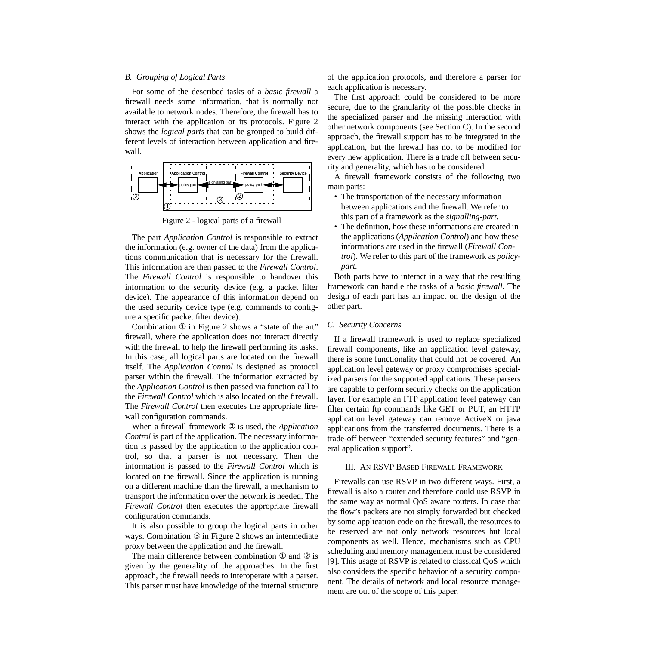## *B. Grouping of Logical Parts*

For some of the described tasks of a *basic firewall* a firewall needs some information, that is normally not available to network nodes. Therefore, the firewall has to interact with the application or its protocols. Figure 2 shows the *logical parts* that can be grouped to build different levels of interaction between application and firewall.



Figure 2 - logical parts of a firewall

The part *Application Control* is responsible to extract the information (e.g. owner of the data) from the applications communication that is necessary for the firewall. This information are then passed to the *Firewall Control*. The *Firewall Control* is responsible to handover this information to the security device (e.g. a packet filter device). The appearance of this information depend on the used security device type (e.g. commands to configure a specific packet filter device).

Combination ① in Figure 2 shows a "state of the art" firewall, where the application does not interact directly with the firewall to help the firewall performing its tasks. In this case, all logical parts are located on the firewall itself. The *Application Control* is designed as protocol parser within the firewall. The information extracted by the *Application Control* is then passed via function call to the *Firewall Control* which is also located on the firewall. The *Firewall Control* then executes the appropriate firewall configuration commands.

When a firewall framework ② is used, the *Application Control* is part of the application. The necessary information is passed by the application to the application control, so that a parser is not necessary. Then the information is passed to the *Firewall Control* which is located on the firewall. Since the application is running on a different machine than the firewall, a mechanism to transport the information over the network is needed. The *Firewall Control* then executes the appropriate firewall configuration commands.

It is also possible to group the logical parts in other ways. Combination ③ in Figure 2 shows an intermediate proxy between the application and the firewall.

The main difference between combination ① and ② is given by the generality of the approaches. In the first approach, the firewall needs to interoperate with a parser. This parser must have knowledge of the internal structure of the application protocols, and therefore a parser for each application is necessary.

The first approach could be considered to be more secure, due to the granularity of the possible checks in the specialized parser and the missing interaction with other network components (see Section C). In the second approach, the firewall support has to be integrated in the application, but the firewall has not to be modified for every new application. There is a trade off between security and generality, which has to be considered.

A firewall framework consists of the following two main parts:

- The transportation of the necessary information between applications and the firewall. We refer to this part of a framework as the *signalling-part.*
- The definition, how these informations are created in the applications (*Application Control*) and how these informations are used in the firewall (*Firewall Control*). We refer to this part of the framework as *policypart.*

Both parts have to interact in a way that the resulting framework can handle the tasks of a *basic firewall*. The design of each part has an impact on the design of the other part.

#### *C. Security Concerns*

If a firewall framework is used to replace specialized firewall components, like an application level gateway, there is some functionality that could not be covered. An application level gateway or proxy compromises specialized parsers for the supported applications. These parsers are capable to perform security checks on the application layer. For example an FTP application level gateway can filter certain ftp commands like GET or PUT, an HTTP application level gateway can remove ActiveX or java applications from the transferred documents. There is a trade-off between "extended security features" and "general application support".

#### III. AN RSVP BASED FIREWALL FRAMEWORK

Firewalls can use RSVP in two different ways. First, a firewall is also a router and therefore could use RSVP in the same way as normal QoS aware routers. In case that the flow's packets are not simply forwarded but checked by some application code on the firewall, the resources to be reserved are not only network resources but local components as well. Hence, mechanisms such as CPU scheduling and memory management must be considered [\[9\].](#page-9-0) This usage of RSVP is related to classical QoS which also considers the specific behavior of a security component. The details of network and local resource management are out of the scope of this paper.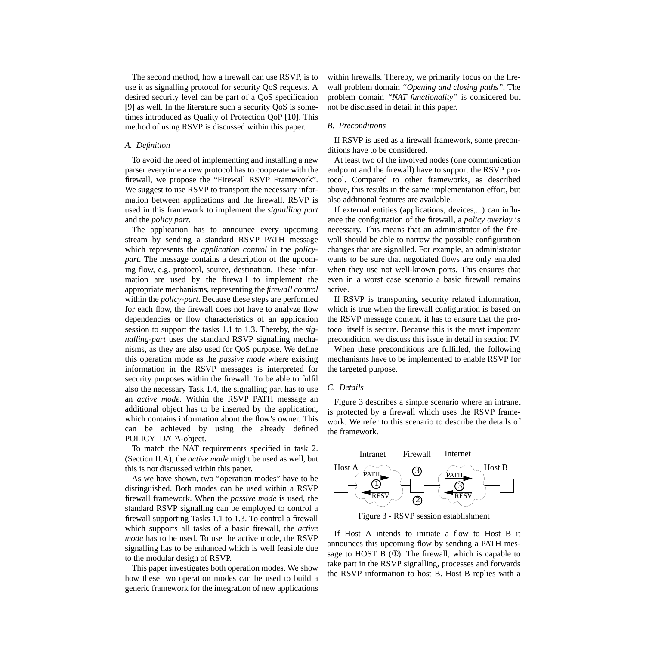The second method, how a firewall can use RSVP, is to use it as signalling protocol for security QoS requests. A desired security level can be part of a QoS specification [\[9\]](#page-9-0) as well. In the literature such a security QoS is sometimes introduced as Quality of Protection QoP [\[10\].](#page-9-0) This method of using RSVP is discussed within this paper.

## *A. Definition*

To avoid the need of implementing and installing a new parser everytime a new protocol has to cooperate with the firewall, we propose the "Firewall RSVP Framework". We suggest to use RSVP to transport the necessary information between applications and the firewall. RSVP is used in this framework to implement the *signalling part* and the *policy part*.

The application has to announce every upcoming stream by sending a standard RSVP PATH message which represents the *application control* in the *policypart*. The message contains a description of the upcoming flow, e.g. protocol, source, destination. These information are used by the firewall to implement the appropriate mechanisms, representing the *firewall control* within the *policy-part*. Because these steps are performed for each flow, the firewall does not have to analyze flow dependencies or flow characteristics of an application session to support the tasks 1.1 to 1.3. Thereby, the *signalling-part* uses the standard RSVP signalling mechanisms, as they are also used for QoS purpose. We define this operation mode as the *passive mode* where existing information in the RSVP messages is interpreted for security purposes within the firewall. To be able to fulfil also the necessary Task 1.4, the signalling part has to use an *active mode*. Within the RSVP PATH message an additional object has to be inserted by the application, which contains information about the flow's owner. This can be achieved by using the already defined POLICY\_DATA-object.

To match the NAT requirements specified in task 2. ([Section II.A\)](#page-1-0), the *active mode* might be used as well, but this is not discussed within this paper.

As we have shown, two "operation modes" have to be distinguished. Both modes can be used within a RSVP firewall framework. When the *passive mode* is used, the standard RSVP signalling can be employed to control a firewall supporting Tasks 1.1 to 1.3. To control a firewall which supports all tasks of a basic firewall, the *active mode* has to be used. To use the active mode, the RSVP signalling has to be enhanced which is well feasible due to the modular design of RSVP.

This paper investigates both operation modes. We show how these two operation modes can be used to build a generic framework for the integration of new applications

within firewalls. Thereby, we primarily focus on the firewall problem domain *"Opening and closing paths"*. The problem domain *"NAT functionality"* is considered but not be discussed in detail in this paper.

#### *B. Preconditions*

If RSVP is used as a firewall framework, some preconditions have to be considered.

At least two of the involved nodes (one communication endpoint and the firewall) have to support the RSVP protocol. Compared to other frameworks, as described above, this results in the same implementation effort, but also additional features are available.

If external entities (applications, devices,...) can influence the configuration of the firewall, a *policy overlay* is necessary. This means that an administrator of the firewall should be able to narrow the possible configuration changes that are signalled. For example, an administrator wants to be sure that negotiated flows are only enabled when they use not well-known ports. This ensures that even in a worst case scenario a basic firewall remains active.

If RSVP is transporting security related information, which is true when the firewall configuration is based on the RSVP message content, it has to ensure that the protocol itself is secure. Because this is the most important precondition, we discuss this issue in detail in section IV.

When these preconditions are fulfilled, the following mechanisms have to be implemented to enable RSVP for the targeted purpose.

#### *C. Details*

Figure 3 describes a simple scenario where an intranet is protected by a firewall which uses the RSVP framework. We refer to this scenario to describe the details of the framework.



Figure 3 - RSVP session establishment

If Host A intends to initiate a flow to Host B it announces this upcoming flow by sending a PATH message to HOST B (①). The firewall, which is capable to take part in the RSVP signalling, processes and forwards the RSVP information to host B. Host B replies with a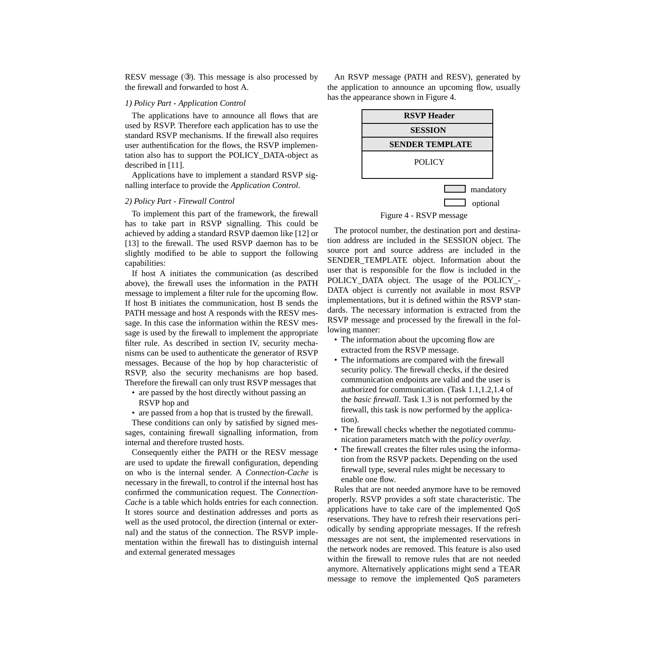RESV message (③). This message is also processed by the firewall and forwarded to host A.

## *1) Policy Part - Application Control*

The applications have to announce all flows that are used by RSVP. Therefore each application has to use the standard RSVP mechanisms. If the firewall also requires user authentification for the flows, the RSVP implementation also has to support the POLICY\_DATA-object as described in [\[11\].](#page-9-0)

Applications have to implement a standard RSVP signalling interface to provide the *Application Control*.

## *2) Policy Part - Firewall Control*

To implement this part of the framework, the firewall has to take part in RSVP signalling. This could be achieved by adding a standard RSVP daemon like [\[12\]](#page-9-0) or [\[13\]](#page-9-0) to the firewall. The used RSVP daemon has to be slightly modified to be able to support the following capabilities:

If host A initiates the communication (as described above), the firewall uses the information in the PATH message to implement a filter rule for the upcoming flow. If host B initiates the communication, host B sends the PATH message and host A responds with the RESV message. In this case the information within the RESV message is used by the firewall to implement the appropriate filter rule. As described in section IV, security mechanisms can be used to authenticate the generator of RSVP messages. Because of the hop by hop characteristic of RSVP, also the security mechanisms are hop based. Therefore the firewall can only trust RSVP messages that

- are passed by the host directly without passing an RSVP hop and
- are passed from a hop that is trusted by the firewall.

These conditions can only by satisfied by signed messages, containing firewall signalling information, from internal and therefore trusted hosts.

Consequently either the PATH or the RESV message are used to update the firewall configuration, depending on who is the internal sender. A *Connection-Cache* is necessary in the firewall, to control if the internal host has confirmed the communication request. The *Connection-Cache* is a table which holds entries for each connection. It stores source and destination addresses and ports as well as the used protocol, the direction (internal or external) and the status of the connection. The RSVP implementation within the firewall has to distinguish internal and external generated messages

An RSVP message (PATH and RESV), generated by the application to announce an upcoming flow, usually has the appearance shown in Figure 4.



Figure 4 - RSVP message

The protocol number, the destination port and destination address are included in the SESSION object. The source port and source address are included in the SENDER TEMPLATE object. Information about the user that is responsible for the flow is included in the POLICY\_DATA object. The usage of the POLICY\_- DATA object is currently not available in most RSVP implementations, but it is defined within the RSVP standards. The necessary information is extracted from the RSVP message and processed by the firewall in the following manner:

- The information about the upcoming flow are extracted from the RSVP message.
- The informations are compared with the firewall security policy. The firewall checks, if the desired communication endpoints are valid and the user is authorized for communication. (Task 1.1,1.2,1.4 of the *basic firewall*. Task 1.3 is not performed by the firewall, this task is now performed by the application).
- The firewall checks whether the negotiated communication parameters match with the *policy overlay*.
- The firewall creates the filter rules using the information from the RSVP packets. Depending on the used firewall type, several rules might be necessary to enable one flow.

Rules that are not needed anymore have to be removed properly. RSVP provides a soft state characteristic. The applications have to take care of the implemented QoS reservations. They have to refresh their reservations periodically by sending appropriate messages. If the refresh messages are not sent, the implemented reservations in the network nodes are removed. This feature is also used within the firewall to remove rules that are not needed anymore. Alternatively applications might send a TEAR message to remove the implemented QoS parameters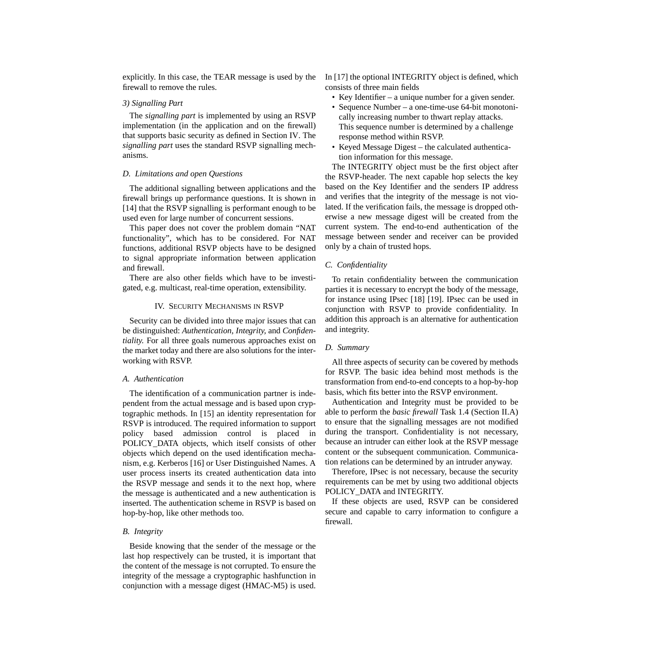explicitly. In this case, the TEAR message is used by the firewall to remove the rules.

## *3) Signalling Part*

The *signalling part* is implemented by using an RSVP implementation (in the application and on the firewall) that supports basic security as defined in Section IV. The *signalling part* uses the standard RSVP signalling mechanisms.

#### *D. Limitations and open Questions*

The additional signalling between applications and the firewall brings up performance questions. It is shown in [\[14\]](#page-9-0) that the RSVP signalling is performant enough to be used even for large number of concurrent sessions.

This paper does not cover the problem domain "NAT functionality", which has to be considered. For NAT functions, additional RSVP objects have to be designed to signal appropriate information between application and firewall.

There are also other fields which have to be investigated, e.g. multicast, real-time operation, extensibility.

#### IV. SECURITY MECHANISMS IN RSVP

Security can be divided into three major issues that can be distinguished: *Authentication, Integrity,* and *Confidentiality.* For all three goals numerous approaches exist on the market today and there are also solutions for the interworking with RSVP.

## *A. Authentication*

The identification of a communication partner is independent from the actual message and is based upon cryptographic methods. In [\[15\]](#page-9-0) an identity representation for RSVP is introduced. The required information to support policy based admission control is placed in POLICY\_DATA objects, which itself consists of other objects which depend on the used identification mechanism, e.g. Kerberos [\[16\]](#page-9-0) or User Distinguished Names. A user process inserts its created authentication data into the RSVP message and sends it to the next hop, where the message is authenticated and a new authentication is inserted. The authentication scheme in RSVP is based on hop-by-hop, like other methods too.

#### *B. Integrity*

Beside knowing that the sender of the message or the last hop respectively can be trusted, it is important that the content of the message is not corrupted. To ensure the integrity of the message a cryptographic hashfunction in conjunction with a message digest (HMAC-M5) is used.

In [\[17\]](#page-9-0) the optional INTEGRITY object is defined, which consists of three main fields

- Key Identifier a unique number for a given sender.
- Sequence Number a one-time-use 64-bit monotonically increasing number to thwart replay attacks. This sequence number is determined by a challenge response method within RSVP.
- Keyed Message Digest the calculated authentication information for this message.

The INTEGRITY object must be the first object after the RSVP-header. The next capable hop selects the key based on the Key Identifier and the senders IP address and verifies that the integrity of the message is not violated. If the verification fails, the message is dropped otherwise a new message digest will be created from the current system. The end-to-end authentication of the message between sender and receiver can be provided only by a chain of trusted hops.

#### *C. Confidentiality*

To retain confidentiality between the communication parties it is necessary to encrypt the body of the message, for instance using IPsec [\[18\] \[19\].](#page-9-0) IPsec can be used in conjunction with RSVP to provide confidentiality. In addition this approach is an alternative for authentication and integrity.

#### *D. Summary*

All three aspects of security can be covered by methods for RSVP. The basic idea behind most methods is the transformation from end-to-end concepts to a hop-by-hop basis, which fits better into the RSVP environment.

Authentication and Integrity must be provided to be able to perform the *basic firewall* Task 1.4 ([Section II.A](#page-1-0)) to ensure that the signalling messages are not modified during the transport. Confidentiality is not necessary, because an intruder can either look at the RSVP message content or the subsequent communication. Communication relations can be determined by an intruder anyway.

Therefore, IPsec is not necessary, because the security requirements can be met by using two additional objects POLICY DATA and INTEGRITY.

If these objects are used, RSVP can be considered secure and capable to carry information to configure a firewall.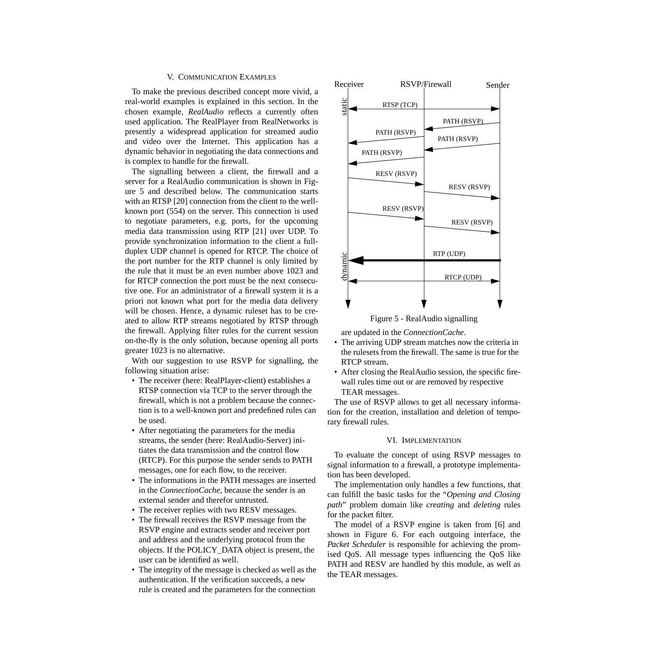## V. COMMUNICATION EXAMPLES

To make the previous described concept more vivid, a real-world examples is explained in this section. In the chosen example, *RealAudio* reflects a currently often used application. The RealPlayer from RealNetworks is presently a widespread application for streamed audio and video over the Internet. This application has a dynamic behavior in negotiating the data connections and is complex to handle for the firewall.

The signalling between a client, the firewall and a server for a RealAudio communication is shown in Figure 5 and described below. The communication starts with an RTSP [\[20\]](#page-9-0) connection from the client to the wellknown port (554) on the server. This connection is used to negotiate parameters, e.g. ports, for the upcoming media data transmission using RTP [\[21\]](#page-9-0) over UDP. To provide synchronization information to the client a fullduplex UDP channel is opened for RTCP. The choice of the port number for the RTP channel is only limited by the rule that it must be an even number above 1023 and for RTCP connection the port must be the next consecutive one. For an administrator of a firewall system it is a priori not known what port for the media data delivery will be chosen. Hence, a dynamic ruleset has to be created to allow RTP streams negotiated by RTSP through the firewall. Applying filter rules for the current session on-the-fly is the only solution, because opening all ports greater 1023 is no alternative.

With our suggestion to use RSVP for signalling, the following situation arise:

- The receiver (here: RealPlayer-client) establishes a RTSP connection via TCP to the server through the firewall, which is not a problem because the connection is to a well-known port and predefined rules can be used.
- After negotiating the parameters for the media streams, the sender (here: RealAudio-Server) initiates the data transmission and the control flow (RTCP). For this purpose the sender sends to PATH messages, one for each flow, to the receiver.
- The informations in the PATH messages are inserted in the *ConnectionCache*, because the sender is an external sender and therefor untrusted.
- The receiver replies with two RESV messages.
- The firewall receives the RSVP message from the RSVP engine and extracts sender and receiver port and address and the underlying protocol from the objects. If the POLICY\_DATA object is present, the user can be identified as well.
- The integrity of the message is checked as well as the authentication. If the verification succeeds, a new rule is created and the parameters for the connection



Figure 5 - RealAudio signalling

are updated in the *ConnectionCache*.

- The arriving UDP stream matches now the criteria in the rulesets from the firewall. The same is true for the RTCP stream.
- After closing the RealAudio session, the specific firewall rules time out or are removed by respective TEAR messages.

The use of RSVP allows to get all necessary information for the creation, installation and deletion of temporary firewall rules.

# VI. IMPLEMENTATION

To evaluate the concept of using RSVP messages to signal information to a firewall, a prototype implementation has been developed.

The implementation only handles a few functions, that can fulfill the basic tasks for the "*Opening and Closing path*" problem domain like *creating* and *deleting* rules for the packet filter.

The model of a RSVP engine is taken from [\[6\]](#page-9-0) and shown in [Figure 6](#page-7-0). For each outgoing interface, the *Packet Scheduler* is responsible for achieving the promised QoS. All message types influencing the QoS like PATH and RESV are handled by this module, as well as the TEAR messages.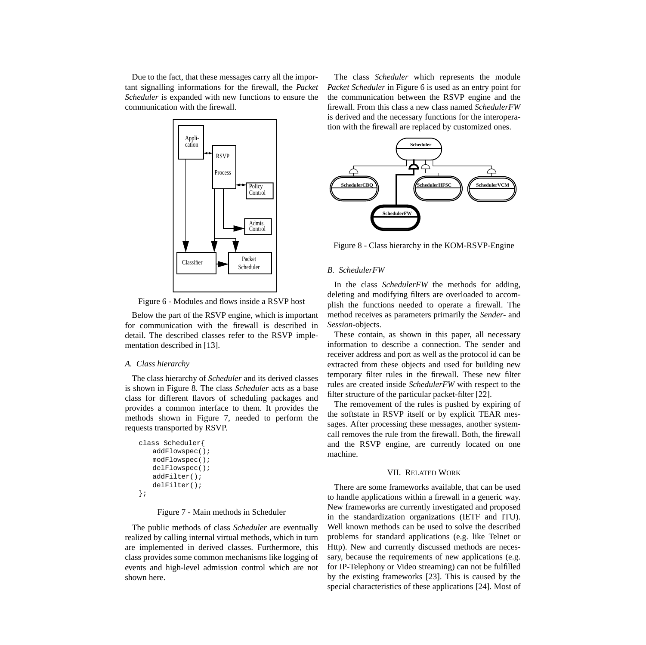<span id="page-7-0"></span>Due to the fact, that these messages carry all the important signalling informations for the firewall, the *Packet Scheduler* is expanded with new functions to ensure the communication with the firewall.



Figure 6 - Modules and flows inside a RSVP host

Below the part of the RSVP engine, which is important for communication with the firewall is described in detail. The described classes refer to the RSVP implementation described in [[13\].](#page-9-0)

## *A. Class hierarchy*

The class hierarchy of *Scheduler* and its derived classes is shown in Figure 8. The class *Scheduler* acts as a base class for different flavors of scheduling packages and provides a common interface to them. It provides the methods shown in Figure 7, needed to perform the requests transported by RSVP.

```
class Scheduler{
   addFlowspec();
   modFlowspec();
   delFlowspec();
   addFilter();
   delFilter();
};
```
Figure 7 - Main methods in Scheduler

The public methods of class *Scheduler* are eventually realized by calling internal virtual methods, which in turn are implemented in derived classes. Furthermore, this class provides some common mechanisms like logging of events and high-level admission control which are not shown here.

The class *Scheduler* which represents the module *Packet Scheduler* in Figure 6 is used as an entry point for the communication between the RSVP engine and the firewall. From this class a new class named *SchedulerFW* is derived and the necessary functions for the interoperation with the firewall are replaced by customized ones.



Figure 8 - Class hierarchy in the KOM-RSVP-Engine

## *B. SchedulerFW*

In the class *SchedulerFW* the methods for adding, deleting and modifying filters are overloaded to accomplish the functions needed to operate a firewall. The method receives as parameters primarily the *Sender*- and *Session*-objects.

These contain, as shown in this paper, all necessary information to describe a connection. The sender and receiver address and port as well as the protocol id can be extracted from these objects and used for building new temporary filter rules in the firewall. These new filter rules are created inside *SchedulerFW* with respect to the filter structure of the particular packet-filter [2[2\].](#page-9-0)

The removement of the rules is pushed by expiring of the softstate in RSVP itself or by explicit TEAR messages. After processing these messages, another systemcall removes the rule from the firewall. Both, the firewall and the RSVP engine, are currently located on one machine.

## VII. RELATED WORK

There are some frameworks available, that can be used to handle applications within a firewall in a generic way. New frameworks are currently investigated and proposed in the standardization organizations (IETF and ITU). Well known methods can be used to solve the described problems for standard applications (e.g. like Telnet or Http). New and currently discussed methods are necessary, because the requirements of new applications (e.g. for IP-Telephony or Video streaming) can not be fulfilled by the existing frameworks [\[23\].](#page-9-0) This is caused by the special characteristics of these applications [\[24\]](#page-9-0). Most of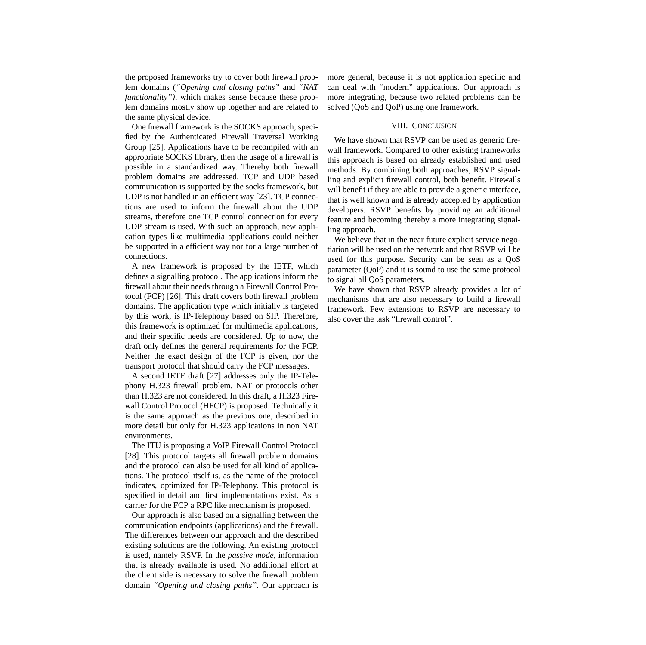the proposed frameworks try to cover both firewall problem domains (*"Opening and closing paths"* and *"NAT functionality")*, which makes sense because these problem domains mostly show up together and are related to the same physical device.

One firewall framework is the SOCKS approach, specified by the Authenticated Firewall Traversal Working Group [\[25\].](#page-9-0) Applications have to be recompiled with an appropriate SOCKS library, then the usage of a firewall is possible in a standardized way. Thereby both firewall problem domains are addressed. TCP and UDP based communication is supported by the socks framework, but UDP is not handled in an efficient way [\[23\].](#page-9-0) TCP connections are used to inform the firewall about the UDP streams, therefore one TCP control connection for every UDP stream is used. With such an approach, new application types like multimedia applications could neither be supported in a efficient way nor for a large number of connections.

A new framework is proposed by the IETF, which defines a signalling protocol. The applications inform the firewall about their needs through a Firewall Control Protocol (FCP) [\[26\]](#page-9-0). This draft covers both firewall problem domains. The application type which initially is targeted by this work, is IP-Telephony based on SIP. Therefore, this framework is optimized for multimedia applications, and their specific needs are considered. Up to now, the draft only defines the general requirements for the FCP. Neither the exact design of the FCP is given, nor the transport protocol that should carry the FCP messages.

A second IETF draft [\[27\]](#page-9-0) addresses only the IP-Telephony H.323 firewall problem. NAT or protocols other than H.323 are not considered. In this draft, a H.323 Firewall Control Protocol (HFCP) is proposed. Technically it is the same approach as the previous one, described in more detail but only for H.323 applications in non NAT environments.

The ITU is proposing a VoIP Firewall Control Protocol [\[28\].](#page-9-0) This protocol targets all firewall problem domains and the protocol can also be used for all kind of applications. The protocol itself is, as the name of the protocol indicates, optimized for IP-Telephony. This protocol is specified in detail and first implementations exist. As a carrier for the FCP a RPC like mechanism is proposed.

Our approach is also based on a signalling between the communication endpoints (applications) and the firewall. The differences between our approach and the described existing solutions are the following. An existing protocol is used, namely RSVP. In the *passive mode*, information that is already available is used. No additional effort at the client side is necessary to solve the firewall problem domain *"Opening and closing paths".* Our approach is

more general, because it is not application specific and can deal with "modern" applications. Our approach is more integrating, because two related problems can be solved (QoS and QoP) using one framework.

#### VIII. CONCLUSION

We have shown that RSVP can be used as generic firewall framework. Compared to other existing frameworks this approach is based on already established and used methods. By combining both approaches, RSVP signalling and explicit firewall control, both benefit. Firewalls will benefit if they are able to provide a generic interface, that is well known and is already accepted by application developers. RSVP benefits by providing an additional feature and becoming thereby a more integrating signalling approach.

We believe that in the near future explicit service negotiation will be used on the network and that RSVP will be used for this purpose. Security can be seen as a QoS parameter (QoP) and it is sound to use the same protocol to signal all QoS parameters.

We have shown that RSVP already provides a lot of mechanisms that are also necessary to build a firewall framework. Few extensions to RSVP are necessary to also cover the task "firewall control".